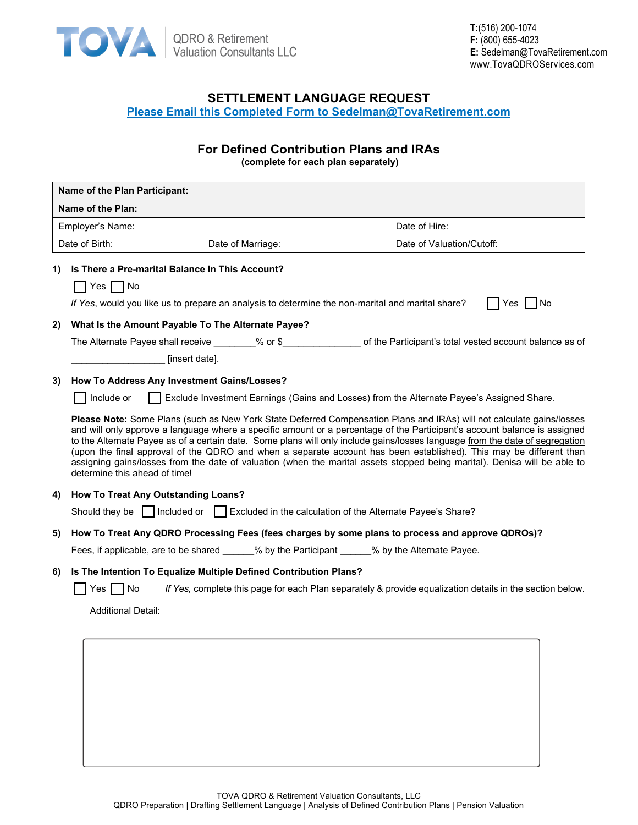

# **SETTLEMENT LANGUAGE REQUEST Please Email this Completed Form to Sedelman@TovaRetirement.com**

# **For Defined Contribution Plans and IRAs**

**(complete for each plan separately)**

|    | Name of the Plan Participant:                                                                                                                                                                                                                                                                                                                                                                                                                                                                                                                                                                                                                                          |  |  |  |
|----|------------------------------------------------------------------------------------------------------------------------------------------------------------------------------------------------------------------------------------------------------------------------------------------------------------------------------------------------------------------------------------------------------------------------------------------------------------------------------------------------------------------------------------------------------------------------------------------------------------------------------------------------------------------------|--|--|--|
|    | Name of the Plan:                                                                                                                                                                                                                                                                                                                                                                                                                                                                                                                                                                                                                                                      |  |  |  |
|    | Date of Hire:<br>Employer's Name:                                                                                                                                                                                                                                                                                                                                                                                                                                                                                                                                                                                                                                      |  |  |  |
|    | Date of Birth:<br>Date of Valuation/Cutoff:<br>Date of Marriage:                                                                                                                                                                                                                                                                                                                                                                                                                                                                                                                                                                                                       |  |  |  |
| 1) | Is There a Pre-marital Balance In This Account?                                                                                                                                                                                                                                                                                                                                                                                                                                                                                                                                                                                                                        |  |  |  |
|    | Yes $\Box$ No                                                                                                                                                                                                                                                                                                                                                                                                                                                                                                                                                                                                                                                          |  |  |  |
|    | If Yes, would you like us to prepare an analysis to determine the non-marital and marital share?<br>Yes I INo                                                                                                                                                                                                                                                                                                                                                                                                                                                                                                                                                          |  |  |  |
| 2) | What Is the Amount Payable To The Alternate Payee?                                                                                                                                                                                                                                                                                                                                                                                                                                                                                                                                                                                                                     |  |  |  |
|    |                                                                                                                                                                                                                                                                                                                                                                                                                                                                                                                                                                                                                                                                        |  |  |  |
|    | [insert date].                                                                                                                                                                                                                                                                                                                                                                                                                                                                                                                                                                                                                                                         |  |  |  |
| 3) | How To Address Any Investment Gains/Losses?                                                                                                                                                                                                                                                                                                                                                                                                                                                                                                                                                                                                                            |  |  |  |
|    | Exclude Investment Earnings (Gains and Losses) from the Alternate Payee's Assigned Share.<br>Include or                                                                                                                                                                                                                                                                                                                                                                                                                                                                                                                                                                |  |  |  |
|    | Please Note: Some Plans (such as New York State Deferred Compensation Plans and IRAs) will not calculate gains/losses<br>and will only approve a language where a specific amount or a percentage of the Participant's account balance is assigned<br>to the Alternate Payee as of a certain date. Some plans will only include gains/losses language from the date of segregation<br>(upon the final approval of the QDRO and when a separate account has been established). This may be different than<br>assigning gains/losses from the date of valuation (when the marital assets stopped being marital). Denisa will be able to<br>determine this ahead of time! |  |  |  |
| 4) | <b>How To Treat Any Outstanding Loans?</b>                                                                                                                                                                                                                                                                                                                                                                                                                                                                                                                                                                                                                             |  |  |  |
|    | Should they be     Included or     Excluded in the calculation of the Alternate Payee's Share?                                                                                                                                                                                                                                                                                                                                                                                                                                                                                                                                                                         |  |  |  |
| 5) | How To Treat Any QDRO Processing Fees (fees charges by some plans to process and approve QDROs)?                                                                                                                                                                                                                                                                                                                                                                                                                                                                                                                                                                       |  |  |  |
|    | Fees, if applicable, are to be shared ______% by the Participant ______% by the Alternate Payee.                                                                                                                                                                                                                                                                                                                                                                                                                                                                                                                                                                       |  |  |  |
| 6) | Is The Intention To Equalize Multiple Defined Contribution Plans?                                                                                                                                                                                                                                                                                                                                                                                                                                                                                                                                                                                                      |  |  |  |
|    | l No<br>If Yes, complete this page for each Plan separately & provide equalization details in the section below.<br>Yes                                                                                                                                                                                                                                                                                                                                                                                                                                                                                                                                                |  |  |  |
|    | <b>Additional Detail:</b>                                                                                                                                                                                                                                                                                                                                                                                                                                                                                                                                                                                                                                              |  |  |  |
|    |                                                                                                                                                                                                                                                                                                                                                                                                                                                                                                                                                                                                                                                                        |  |  |  |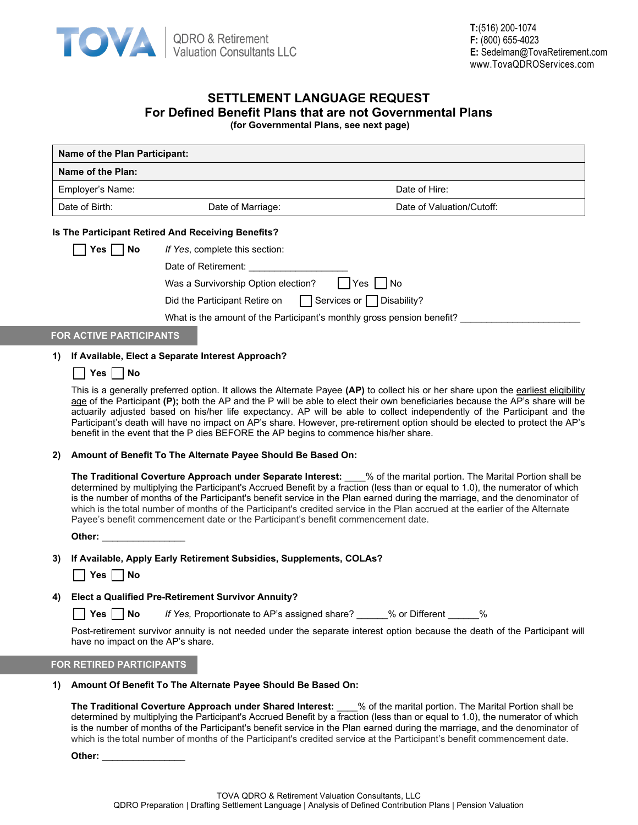

# **SETTLEMENT LANGUAGE REQUEST For Defined Benefit Plans that are not Governmental Plans**

**(for Governmental Plans, see next page)**

| Name of the Plan Participant:  |                                                                        |                                                                                                                                                                                                                                                                                                                                                                                                                                                                                                                                 |
|--------------------------------|------------------------------------------------------------------------|---------------------------------------------------------------------------------------------------------------------------------------------------------------------------------------------------------------------------------------------------------------------------------------------------------------------------------------------------------------------------------------------------------------------------------------------------------------------------------------------------------------------------------|
| Name of the Plan:              |                                                                        |                                                                                                                                                                                                                                                                                                                                                                                                                                                                                                                                 |
| Employer's Name:               |                                                                        | Date of Hire:                                                                                                                                                                                                                                                                                                                                                                                                                                                                                                                   |
| Date of Birth:                 | Date of Marriage:                                                      | Date of Valuation/Cutoff:                                                                                                                                                                                                                                                                                                                                                                                                                                                                                                       |
|                                | Is The Participant Retired And Receiving Benefits?                     |                                                                                                                                                                                                                                                                                                                                                                                                                                                                                                                                 |
| $Yes \mid \text{No}$           | If Yes, complete this section:                                         |                                                                                                                                                                                                                                                                                                                                                                                                                                                                                                                                 |
|                                | Date of Retirement:                                                    |                                                                                                                                                                                                                                                                                                                                                                                                                                                                                                                                 |
|                                | Was a Survivorship Option election?                                    | No<br>Yes.                                                                                                                                                                                                                                                                                                                                                                                                                                                                                                                      |
|                                | Did the Participant Retire on $\Box$ Services or $\Box$ Disability?    |                                                                                                                                                                                                                                                                                                                                                                                                                                                                                                                                 |
|                                | What is the amount of the Participant's monthly gross pension benefit? |                                                                                                                                                                                                                                                                                                                                                                                                                                                                                                                                 |
| <b>FOR ACTIVE PARTICIPANTS</b> |                                                                        |                                                                                                                                                                                                                                                                                                                                                                                                                                                                                                                                 |
| 1)                             | If Available, Elect a Separate Interest Approach?                      |                                                                                                                                                                                                                                                                                                                                                                                                                                                                                                                                 |
| Yes     No                     |                                                                        |                                                                                                                                                                                                                                                                                                                                                                                                                                                                                                                                 |
|                                |                                                                        | This is a generally preferred option. It allows the Alternate Payee (AP) to collect his or her share upon the earliest eligibility<br>age of the Participant (P); both the AP and the P will be able to elect their own beneficiaries because the AP's share will be<br>actuarily adjusted based on his/her life expectancy. AP will be able to collect independently of the Participant and the<br>Participant's death will have no impact on AP's share. However, pre-retirement option should be elected to protect the AP's |

benefit in the event that the P dies BEFORE the AP begins to commence his/her share.

**2) Amount of Benefit To The Alternate Payee Should Be Based On:**

**The Traditional Coverture Approach under Separate Interest:** \_\_\_\_% of the marital portion. The Marital Portion shall be determined by multiplying the Participant's Accrued Benefit by a fraction (less than or equal to 1.0), the numerator of which is the number of months of the Participant's benefit service in the Plan earned during the marriage, and the denominator of which is the total number of months of the Participant's credited service in the Plan accrued at the earlier of the Alternate Payee's benefit commencement date or the Participant's benefit commencement date.

**Other:** \_\_\_\_\_\_\_\_\_\_\_\_\_\_\_\_

#### **3) If Available, Apply Early Retirement Subsidies, Supplements, COLAs?**

|  | ٠ |  | מא |
|--|---|--|----|
|--|---|--|----|

## **4) Elect a Qualified Pre-Retirement Survivor Annuity?**

**Yes No** *If Yes,* Proportionate to AP's assigned share? \_\_\_\_\_\_% or Different \_\_\_\_\_\_%

Post-retirement survivor annuity is not needed under the separate interest option because the death of the Participant will have no impact on the AP's share.

## **FOR RETIRED PARTICIPANTS**

#### **1) Amount Of Benefit To The Alternate Payee Should Be Based On:**

**The Traditional Coverture Approach under Shared Interest:** \_\_\_\_% of the marital portion. The Marital Portion shall be determined by multiplying the Participant's Accrued Benefit by a fraction (less than or equal to 1.0), the numerator of which is the number of months of the Participant's benefit service in the Plan earned during the marriage, and the denominator of which is the total number of months of the Participant's credited service at the Participant's benefit commencement date.

**Other:** \_\_\_\_\_\_\_\_\_\_\_\_\_\_\_\_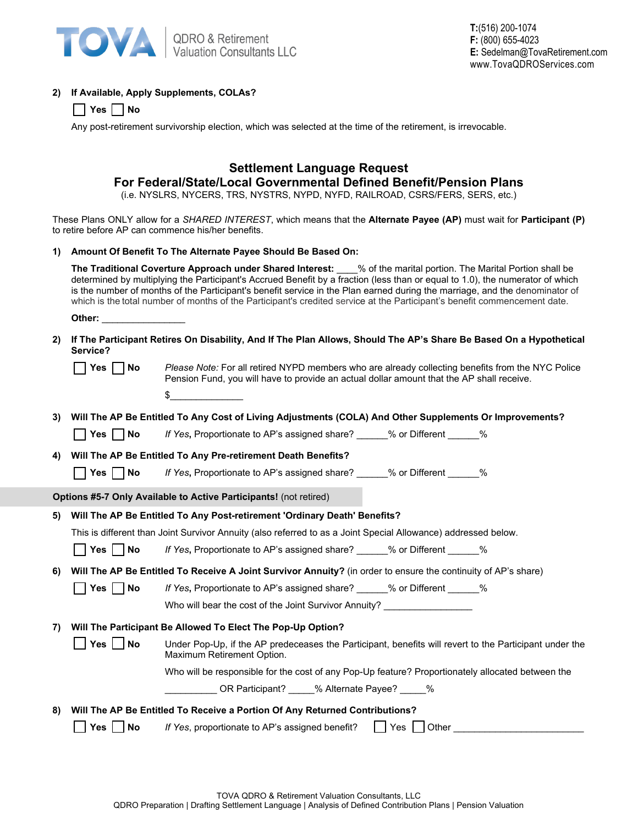

## **2) If Available, Apply Supplements, COLAs?**

|  |  |  | n<br>w |
|--|--|--|--------|
|--|--|--|--------|

Any post-retirement survivorship election, which was selected at the time of the retirement, is irrevocable.

# **Settlement Language Request For Federal/State/Local Governmental Defined Benefit/Pension Plans**

(i.e. NYSLRS, NYCERS, TRS, NYSTRS, NYPD, NYFD, RAILROAD, CSRS/FERS, SERS, etc.)

These Plans ONLY allow for a *SHARED INTEREST*, which means that the **Alternate Payee (AP)** must wait for **Participant (P)** to retire before AP can commence his/her benefits.

### **1) Amount Of Benefit To The Alternate Payee Should Be Based On:**

**The Traditional Coverture Approach under Shared Interest:** \_\_\_\_% of the marital portion. The Marital Portion shall be determined by multiplying the Participant's Accrued Benefit by a fraction (less than or equal to 1.0), the numerator of which is the number of months of the Participant's benefit service in the Plan earned during the marriage, and the denominator of which is the total number of months of the Participant's credited service at the Participant's benefit commencement date.

**Other:** \_\_\_\_\_\_\_\_\_\_\_\_\_\_\_\_

**2) If The Participant Retires On Disability, And If The Plan Allows, Should The AP's Share Be Based On a Hypothetical Service?** 

|--|--|--|

**No** *Please Note:* For all retired NYPD members who are already collecting benefits from the NYC Police Pension Fund, you will have to provide an actual dollar amount that the AP shall receive.

 $\mathfrak s$ 

**3) Will The AP Be Entitled To Any Cost of Living Adjustments (COLA) And Other Supplements Or Improvements?** 

**The Yes <b>No** *If Yes*, Proportionate to AP's assigned share? \_\_\_\_\_\_% or Different \_\_\_\_\_\_%

## **4) Will The AP Be Entitled To Any Pre-retirement Death Benefits?**

**T** Yes **No** *If Yes*, Proportionate to AP's assigned share? We or Different  $\%$ 

**Options #5-7 Only Available to Active Participants!** (not retired)

## **5) Will The AP Be Entitled To Any Post-retirement 'Ordinary Death' Benefits?**

This is different than Joint Survivor Annuity (also referred to as a Joint Special Allowance) addressed below.

■ Yes ■ No *If Yes*, Proportionate to AP's assigned share? \_\_\_\_\_% or Different \_\_\_\_\_%

## **6) Will The AP Be Entitled To Receive A Joint Survivor Annuity?** (in order to ensure the continuity of AP's share)

**T Yes No** *If Yes*, Proportionate to AP's assigned share? We or Different  $\%$ 

Who will bear the cost of the Joint Survivor Annuity? \_\_\_\_\_\_\_\_\_\_\_\_\_\_\_\_\_\_\_\_\_\_\_\_\_\_

## **7) Will The Participant Be Allowed To Elect The Pop-Up Option?**

| Yes $\Box$ No | Under Pop-Up, if the AP predeceases the Participant, benefits will revert to the Participant under the<br>Maximum Retirement Option. |
|---------------|--------------------------------------------------------------------------------------------------------------------------------------|
|               |                                                                                                                                      |

Who will be responsible for the cost of any Pop-Up feature? Proportionately allocated between the

| OR Participant? | % Alternate Payee? | % |  |
|-----------------|--------------------|---|--|
|                 |                    |   |  |

**8) Will The AP Be Entitled To Receive a Portion Of Any Returned Contributions? The Presum Ves No** *If Yes*, proportionate to AP's assigned benefit?  $\Box$  Yes  $\Box$  Other